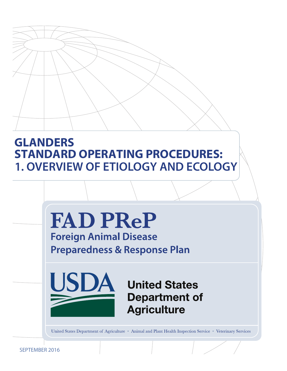# **GLANDERS STANDARD OPERATING PROCEDURES: 1. OVERVIEW OF ETIOLOGY AND ECOLOGY**



**Foreign Animal Disease Preparedness & Response Plan** 



**United States Department of Agriculture** 

United States Department of Agriculture • Animal and Plant Health Inspection Service • Veterinary Services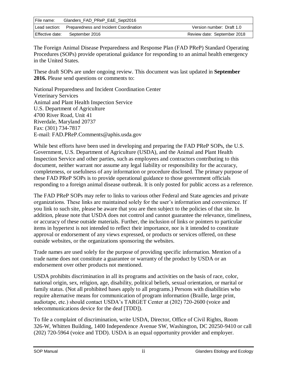| File name:      | Glanders_FAD_PReP_E&E_Sept2016                       |                             |
|-----------------|------------------------------------------------------|-----------------------------|
|                 | Lead section: Preparedness and Incident Coordination | Version number: Draft 1.0   |
| Effective date: | September 2016                                       | Review date: September 2018 |

The Foreign Animal Disease Preparedness and Response Plan (FAD PReP) Standard Operating Procedures (SOPs) provide operational guidance for responding to an animal health emergency in the United States.

These draft SOPs are under ongoing review. This document was last updated in **September 2016.** Please send questions or comments to:

National Preparedness and Incident Coordination Center Veterinary Services Animal and Plant Health Inspection Service U.S. Department of Agriculture 4700 River Road, Unit 41 Riverdale, Maryland 20737 Fax: (301) 734-7817 E-mail: [FAD.PReP.Comments@aphis.usda.gov](mailto:FAD.PReP.Comments@aphis.usda.gov)

While best efforts have been used in developing and preparing the FAD PReP SOPs, the U.S. Government, U.S. Department of Agriculture (USDA), and the Animal and Plant Health Inspection Service and other parties, such as employees and contractors contributing to this document, neither warrant nor assume any legal liability or responsibility for the accuracy, completeness, or usefulness of any information or procedure disclosed. The primary purpose of these FAD PReP SOPs is to provide operational guidance to those government officials responding to a foreign animal disease outbreak. It is only posted for public access as a reference.

The FAD PReP SOPs may refer to links to various other Federal and State agencies and private organizations. These links are maintained solely for the user's information and convenience. If you link to such site, please be aware that you are then subject to the policies of that site. In addition, please note that USDA does not control and cannot guarantee the relevance, timeliness, or accuracy of these outside materials. Further, the inclusion of links or pointers to particular items in hypertext is not intended to reflect their importance, nor is it intended to constitute approval or endorsement of any views expressed, or products or services offered, on these outside websites, or the organizations sponsoring the websites.

Trade names are used solely for the purpose of providing specific information. Mention of a trade name does not constitute a guarantee or warranty of the product by USDA or an endorsement over other products not mentioned.

USDA prohibits discrimination in all its programs and activities on the basis of race, color, national origin, sex, religion, age, disability, political beliefs, sexual orientation, or marital or family status. (Not all prohibited bases apply to all programs.) Persons with disabilities who require alternative means for communication of program information (Braille, large print, audiotape, etc.) should contact USDA's TARGET Center at (202) 720-2600 (voice and telecommunications device for the deaf [TDD]).

To file a complaint of discrimination, write USDA, Director, Office of Civil Rights, Room 326-W, Whitten Building, 1400 Independence Avenue SW, Washington, DC 20250-9410 or call (202) 720-5964 (voice and TDD). USDA is an equal opportunity provider and employer.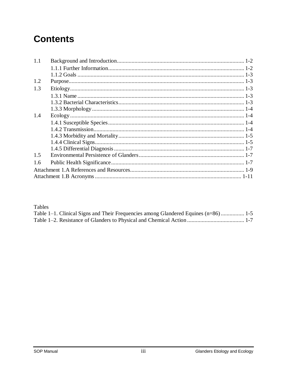# **Contents**

| 1.1 |  |
|-----|--|
|     |  |
|     |  |
| 1.2 |  |
| 1.3 |  |
|     |  |
|     |  |
|     |  |
| 1.4 |  |
|     |  |
|     |  |
|     |  |
|     |  |
|     |  |
| 1.5 |  |
| 1.6 |  |
|     |  |
|     |  |
|     |  |

Tables

| Table 1–1. Clinical Signs and Their Frequencies among Glandered Equines (n=86) 1-5 |  |
|------------------------------------------------------------------------------------|--|
|                                                                                    |  |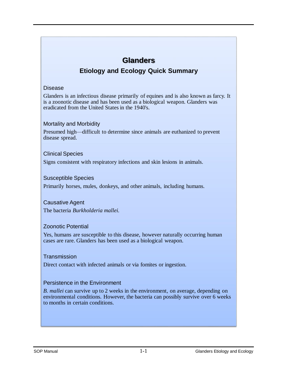# **Glanders Etiology and Ecology Quick Summary**

#### Disease

Glanders is an infectious disease primarily of equines and is also known as farcy. It is a zoonotic disease and has been used as a biological weapon. Glanders was eradicated from the United States in the 1940's.

#### Mortality and Morbidity

Presumed high—difficult to determine since animals are euthanized to prevent disease spread.

#### Clinical Species

Signs consistent with respiratory infections and skin lesions in animals.

#### Susceptible Species

Primarily horses, mules, donkeys, and other animals, including humans.

## Causative Agent

The bacteria *Burkholderia mallei.*

#### Zoonotic Potential

Yes, humans are susceptible to this disease, however naturally occurring human cases are rare. Glanders has been used as a biological weapon.

#### **Transmission**

Direct contact with infected animals or via fomites or ingestion.

#### Persistence in the Environment

*B. mallei* can survive up to 2 weeks in the environment, on average, depending on environmental conditions. However, the bacteria can possibly survive over 6 weeks to months in certain conditions.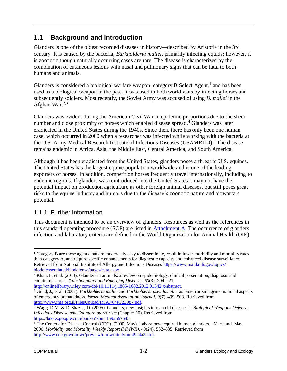# <span id="page-4-0"></span>**1.1 Background and Introduction**

Glanders is one of the oldest recorded diseases in history—described by Aristotle in the 3rd century. It is caused by the bacteria, *Burkholderia mallei,* primarily infecting equids; however, it is zoonotic though naturally occurring cases are rare. The disease is characterized by the combination of cutaneous lesions with nasal and pulmonary signs that can be fatal to both humans and animals.

Glanders is considered a biological warfare weapon, category B Select Agent,<sup>1</sup> and has been used as a biological weapon in the past. It was used in both world wars by infecting horses and subsequently soldiers. Most recently, the Soviet Army was accused of using *B. mallei* in the Afghan War.<sup>2,3</sup>

Glanders was evident during the American Civil War in epidemic proportions due to the sheer number and close proximity of horses which enabled disease spread. <sup>4</sup> Glanders was later eradicated in the United States during the 1940s. Since then, there has only been one human case, which occurred in 2000 when a researcher was infected while working with the bacteria at the U.S. Army Medical Research Institute of Infectious Diseases (USAMRIID).<sup>5</sup> The disease remains endemic in Africa, Asia, the Middle East, Central America, and South America.

Although it has been eradicated from the United States, glanders poses a threat to U.S. equines. The United States has the largest equine population worldwide and is one of the leading exporters of horses. In addition, competition horses frequently travel internationally, including to endemic regions. If glanders was reintroduced into the United States it may not have the potential impact on production agriculture as other foreign animal diseases, but still poses great risks to the equine industry and humans due to the disease's zoonotic nature and biowarfare potential.

#### <span id="page-4-1"></span>1.1.1 Further Information

This document is intended to be an overview of glanders. Resources as well as the references in this standard operating procedure (SOP) are listed in [Attachment A.](#page-11-0) The occurrence of glanders infection and laboratory criteria are defined in the World Organization for Animal Health (OIE)

[http://onlinelibrary.wiley.com/doi/10.1111/j.1865-1682.2012.01342.x/abstract.](http://onlinelibrary.wiley.com/doi/10.1111/j.1865-1682.2012.01342.x/abstract)

 $\overline{a}$ <sup>1</sup> Category B are those agents that are moderately easy to disseminate, result in lower morbidity and mortality rates than category A, and require specific enhancements for diagnostic capacity and enhanced disease surveillance. Retrieved from National Institute of Allergy and Infectious Diseases [https://www.niaid.nih.gov/topics/](https://www.niaid.nih.gov/topics/biodefenserelated/biodefense/pages/cata.aspx)  [biodefenserelated/biodefense/pages/cata.aspx.](https://www.niaid.nih.gov/topics/biodefenserelated/biodefense/pages/cata.aspx)

<sup>2</sup> Khan, I., et al. (2013). Glanders in animals: a review on epidemiology, clinical presentation, diagnosis and countermeasures*. Transboundary and Emerging Diseases, 60*(3), 204–221.

<sup>3</sup> Gilad, J., et al. (2007). *Burkholderia mallei* and *Burkholderia pseudomallei* as bioterrorism agents: national aspects of emergency preparedness. *Israeli Medical Association Journal, 9*(7), 499–503. Retrieved from [http://www.ima.org.il/FilesUpload/IMAJ/0/46/23087.pdf.](http://www.ima.org.il/FilesUpload/IMAJ/0/46/23087.pdf)

<sup>4</sup> Wagg, D.M. & DeShazer, D. (2005). Glanders, new insights into an old disease. In *Biological Weapons Defense: Infectious Disease and Counterbioterrorism* (Chapter 10). Retrieved from <https://books.google.com/books?isbn=1592597645>*.* 

<sup>5</sup> The Centers for Disease Control (CDC). (2000, May). Laboratory-acquired human glanders—Maryland, May 2000. *Morbidity and Mortality Weekly Report (MMWR)*, 49(24), 532–535. Retrieved from [http://www.cdc.gov/mmwr/preview/mmwrhtml/mm4924a3.htm.](http://www.cdc.gov/mmwr/preview/mmwrhtml/mm4924a3.htm)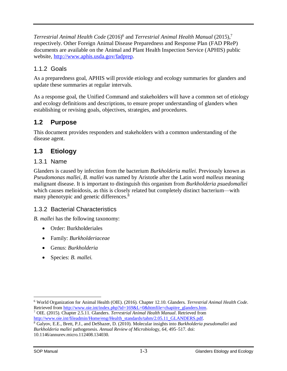Terrestrial Animal Health Code (2016)<sup>6</sup> and *Terrestrial Animal Health Manual* (2015),<sup>7</sup> respectively. Other Foreign Animal Disease Preparedness and Response Plan (FAD PReP) documents are available on the Animal and Plant Health Inspection Service (APHIS) public website, [http://www.aphis.usda.gov/fadprep.](http://www.aphis.usda.gov/fadprep)

#### <span id="page-5-0"></span>1.1.2 Goals

As a preparedness goal, APHIS will provide etiology and ecology summaries for glanders and update these summaries at regular intervals.

As a response goal, the Unified Command and stakeholders will have a common set of etiology and ecology definitions and descriptions, to ensure proper understanding of glanders when establishing or revising goals, objectives, strategies, and procedures.

## <span id="page-5-1"></span>**1.2 Purpose**

This document provides responders and stakeholders with a common understanding of the disease agent.

# <span id="page-5-2"></span>**1.3 Etiology**

#### <span id="page-5-3"></span>1.3.1 Name

Glanders is caused by infection from the bacterium *Burkholderia mallei.* Previously known as *Pseudomonas mallei*, *B. mallei* was named by Aristotle after the Latin word *malleus* meaning malignant disease. It is important to distinguish this organism from *Burkholderia psuedomallei* which causes melioidosis, as this is closely related but completely distinct bacterium—with many phenotypic and genetic differences.<sup>8</sup>

#### <span id="page-5-4"></span>1.3.2 Bacterial Characteristics

*B. mallei* has the following taxonomy:

- Order: Burkholderiales
- Family: *Burkholderiaceae*
- Genus: *Burkholderia*
- Species: *B. mallei.*

 $\overline{a}$ <sup>6</sup> World Organization for Animal Health (OIE). (2016). Chapter 12.10. Glanders. *Terrestrial Animal Health Code*. Retrieved from [http://www.oie.int/index.php?id=169&L=0&htmfile=chapitre\\_glanders.htm.](http://www.oie.int/index.php?id=169&L=0&htmfile=chapitre_glanders.htm)

<sup>7</sup> OIE. (2015). Chapter 2.5.11. Glanders. *Terrestrial Animal Health Manual*. Retrieved from [http://www.oie.int/fileadmin/Home/eng/Health\\_standards/tahm/2.05.11\\_GLANDERS.pdf.](http://www.oie.int/fileadmin/Home/eng/Health_standards/tahm/2.05.11_GLANDERS.pdf)

<sup>8</sup> Galyov, E.E., Brett, P.J., and DeShazer, D. (2010). Molecular insights into *Burkholderia pseudomallei* and *Burkholderia mallei* pathogenesis. *Annual Review of Microbiolo*gy, *64*, 495–517. doi: 10.1146/annurev.micro.112408.134030.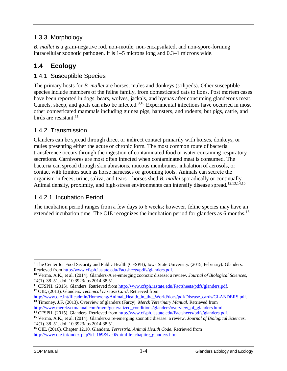#### <span id="page-6-0"></span>1.3.3 Morphology

*B. mallei* is a gram-negative rod, non-motile, non-encapsulated, and non-spore-forming intracellular zoonotic pathogen. It is 1–5 microns long and 0.3–1 microns wide.

# <span id="page-6-1"></span>**1.4 Ecology**

#### <span id="page-6-2"></span>1.4.1 Susceptible Species

The primary hosts for *B. mallei* are horses, mules and donkeys (solipeds). Other susceptible species include members of the feline family, from domesticated cats to lions. Post mortem cases have been reported in dogs, bears, wolves, jackals, and hyenas after consuming glanderous meat. Camels, sheep, and goats can also be infected.<sup>9,10</sup> Experimental infections have occurred in most other domesticated mammals including guinea pigs, hamsters, and rodents; but pigs, cattle, and birds are resistant. $^{11}$ 

## <span id="page-6-3"></span>1.4.2 Transmission

Glanders can be spread through direct or indirect contact primarily with horses, donkeys, or mules presenting either the acute or chronic form. The most common route of bacteria transference occurs through the ingestion of contaminated food or water containing respiratory secretions. Carnivores are most often infected when contaminated meat is consumed. The bacteria can spread through skin abrasions, mucous membranes, inhalation of aerosols, or contact with fomites such as horse harnesses or grooming tools. Animals can secrete the organism in feces, urine, saliva, and tears—horses shed *B. mallei* sporadically or continually. Animal density, proximity, and high-stress environments can intensify disease spread.<sup>12,13,14,15</sup>

#### 1.4.2.1 Incubation Period

The incubation period ranges from a few days to 6 weeks; however, feline species may have an extended incubation time. The OIE recognizes the incubation period for glanders as 6 months.<sup>16</sup>

<sup>11</sup> CFSPH. (2015). Glanders. Retrieved from [http://www.cfsph.iastate.edu/Factsheets/pdfs/glanders.pdf.](http://www.cfsph.iastate.edu/Factsheets/pdfs/glanders.pdf) <sup>12</sup> OIE, (2013). Glanders. *Technical Disease Card*. Retrieved from

[http://www.oie.int/fileadmin/Home/eng/Animal\\_Health\\_in\\_the\\_World/docs/pdf/Disease\\_cards/GLANDERS.pdf.](http://www.oie.int/fileadmin/Home/eng/Animal_Health_in_the_World/docs/pdf/Disease_cards/GLANDERS.pdf) <sup>13</sup> Timoney, J.F. (2013). Overview of glanders (Farcy). *Merck Veterinary Manual*. Retrieved from [http://www.merckvetmanual.com/mvm/generalized\\_conditions/glanders/overview\\_of\\_glanders.html.](http://www.merckvetmanual.com/mvm/generalized_conditions/glanders/overview_of_glanders.html)

 $\overline{a}$ <sup>9</sup> The Center for Food Security and Public Health (CFSPH), Iowa State University. (2015, February). Glanders. Retrieved from [http://www.cfsph.iastate.edu/Factsheets/pdfs/glanders.pdf.](http://www.cfsph.iastate.edu/Factsheets/pdfs/glanders.pdf)

<sup>10</sup> Verma, A.K., et al. (2014). Glanders-A re-emerging zoonotic disease: a review. *Journal of Biological Sciences*, *14*(1). 38–51. doi: 10.3923/jbs.2014.38.51.

<sup>14</sup> CFSPH. (2015). Glanders. Retrieved from [http://www.cfsph.iastate.edu/Factsheets/pdfs/glanders.pdf.](http://www.cfsph.iastate.edu/Factsheets/pdfs/glanders.pdf)

<sup>15</sup> Verma, A.K., et al. (2014). Glanders-a re-emerging zoonotic disease: a review. *Journal of Biological Sciences*, *14*(1). 38–51. doi: 10.3923/jbs.2014.38.51.

<sup>16</sup> OIE. (2016). Chapter 12.10. Glanders. *Terrestrial Animal Health Code*. Retrieved from [http://www.oie.int/index.php?id=169&L=0&htmfile=chapitre\\_glanders.htm](http://www.oie.int/index.php?id=169&L=0&htmfile=chapitre_glanders.htm)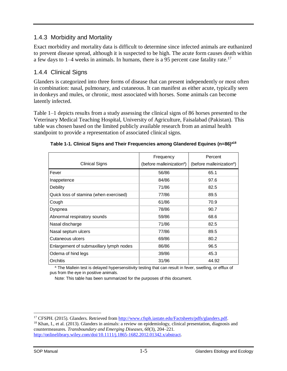#### <span id="page-7-0"></span>1.4.3 Morbidity and Mortality

Exact morbidity and mortality data is difficult to determine since infected animals are euthanized to prevent disease spread, although it is suspected to be high. The acute form causes death within a few days to  $1-4$  weeks in animals. In humans, there is a 95 percent case fatality rate.<sup>17</sup>

## <span id="page-7-1"></span>1.4.4 Clinical Signs

Glanders is categorized into three forms of disease that can present independently or most often in combination: nasal, pulmonary, and cutaneous. It can manifest as either acute, typically seen in donkeys and mules, or chronic, most associated with horses. Some animals can become latently infected.

Table 1–1 depicts results from a study assessing the clinical signs of 86 horses presented to the Veterinary Medical Teaching Hospital, University of Agriculture, Faisalabad (Pakistan). This table was chosen based on the limited publicly available research from an animal health standpoint to provide a representation of associated clinical signs.

| <b>Clinical Signs</b>                   | Frequency<br>(before malleinization <sup>a</sup> ) | Percent<br>(before malleinization <sup>a</sup> ) |
|-----------------------------------------|----------------------------------------------------|--------------------------------------------------|
| Fever                                   | 56/86                                              | 65.1                                             |
| Inappetence                             | 84/86                                              | 97.6                                             |
| Debility                                | 71/86                                              | 82.5                                             |
| Quick loss of stamina (when exercised)  | 77/86                                              | 89.5                                             |
| Cough                                   | 61/86                                              | 70.9                                             |
| Dyspnea                                 | 78/86                                              | 90.7                                             |
| Abnormal respiratory sounds             | 59/86                                              | 68.6                                             |
| Nasal discharge                         | 71/86                                              | 82.5                                             |
| Nasal septum ulcers                     | 77/86                                              | 89.5                                             |
| Cutaneous ulcers                        | 69/86                                              | 80.2                                             |
| Enlargement of submaxillary lymph nodes | 86/86                                              | 96.5                                             |
| Odema of hind legs                      | 39/86                                              | 45.3                                             |
| Orchitis                                | 31/96                                              | 44.92                                            |

**Table 1-1. Clinical Signs and Their Frequencies among Glandered Equines (n=86)a18**

<sup>a</sup> The Mallein test is delayed hypersensitivity testing that can result in fever, swelling, or efflux of pus from the eye in positive animals.

Note: This table has been summarized for the purposes of this document.

 $\overline{a}$ 

<sup>&</sup>lt;sup>17</sup> CFSPH. (2015). Glanders. Retrieved from [http://www.cfsph.iastate.edu/Factsheets/pdfs/glanders.pdf.](http://www.cfsph.iastate.edu/Factsheets/pdfs/glanders.pdf)

<sup>18</sup> Khan, I., et al. (2013). Glanders in animals: a review on epidemiology, clinical presentation, diagnosis and countermeasures*. Transboundary and Emerging Diseases, 60*(3), 204–221. [http://onlinelibrary.wiley.com/doi/10.1111/j.1865-1682.2012.01342.x/abstract.](http://onlinelibrary.wiley.com/doi/10.1111/j.1865-1682.2012.01342.x/abstract)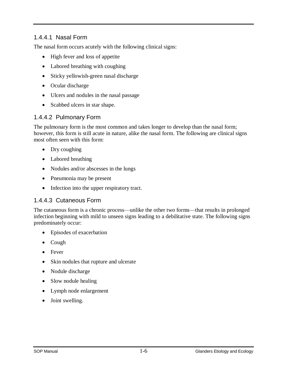#### 1.4.4.1 Nasal Form

The nasal form occurs acutely with the following clinical signs:

- High fever and loss of appetite
- Labored breathing with coughing
- Sticky yellowish-green nasal discharge
- Ocular discharge
- Ulcers and nodules in the nasal passage
- Scabbed ulcers in star shape.

#### 1.4.4.2 Pulmonary Form

The pulmonary form is the most common and takes longer to develop than the nasal form; however, this form is still acute in nature, alike the nasal form. The following are clinical signs most often seen with this form:

- Dry coughing
- Labored breathing
- Nodules and/or abscesses in the lungs
- Pneumonia may be present
- Infection into the upper respiratory tract.

#### 1.4.4.3 Cutaneous Form

The cutaneous form is a chronic process—unlike the other two forms—that results in prolonged infection beginning with mild to unseen signs leading to a debilitative state. The following signs predominately occur:

- Episodes of exacerbation
- Cough
- Fever
- Skin nodules that rupture and ulcerate
- Nodule discharge
- Slow nodule healing
- Lymph node enlargement
- Joint swelling.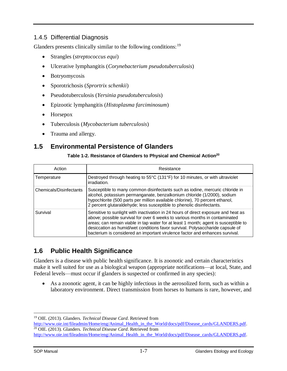#### <span id="page-9-0"></span>1.4.5 Differential Diagnosis

Glanders presents clinically similar to the following conditions: <sup>19</sup>

- Strangles (*streptococcus equi*)
- Ulcerative lymphangitis (*Corynebacterium pseudotuberculosis*)
- Botryomycosis
- Sporotrichosis (*Sprortrix schenkii*)
- Pseudotuberculosis (*Yersinia pseudotuberculosis*)
- Epizootic lymphangitis (*Histoplasma farciminosum*)
- Horsepox
- Tuberculosis (*Mycobacterium tuberculosis*)
- Trauma and allergy.

## <span id="page-9-1"></span>**1.5 Environmental Persistence of Glanders**

#### **Table 1-2. Resistance of Glanders to Physical and Chemical Action<sup>20</sup>**

| Action                  | Resistance                                                                                                                                                                                                                                                                                                                                                                                                                |  |
|-------------------------|---------------------------------------------------------------------------------------------------------------------------------------------------------------------------------------------------------------------------------------------------------------------------------------------------------------------------------------------------------------------------------------------------------------------------|--|
| Temperature             | Destroyed through heating to 55°C (131°F) for 10 minutes, or with ultraviolet<br>irradiation.                                                                                                                                                                                                                                                                                                                             |  |
| Chemicals/Disinfectants | Susceptible to many common disinfectants such as iodine, mercuric chloride in<br>alcohol, potassium permanganate, benzalkonium chloride (1/2000), sodium<br>hypochlorite (500 parts per million available chlorine), 70 percent ethanol,<br>2 percent glutaraldehyde; less susceptible to phenolic disinfectants.                                                                                                         |  |
| Survival                | Sensitive to sunlight with inactivation in 24 hours of direct exposure and heat as<br>above; possible survival for over 6 weeks to various months in contaminated<br>areas; can remain viable in tap water for at least 1 month; agent is susceptible to<br>desiccation as humid/wet conditions favor survival. Polysaccharide capsule of<br>bacterium is considered an important virulence factor and enhances survival. |  |

## <span id="page-9-2"></span>**1.6 Public Health Significance**

Glanders is a disease with public health significance. It is zoonotic and certain characteristics make it well suited for use as a biological weapon (appropriate notifications—at local, State, and Federal levels—must occur if glanders is suspected or confirmed in any species):

 As a zoonotic agent, it can be highly infectious in the aerosolized form, such as within a laboratory environment. Direct transmission from horses to humans is rare, however, and

 $\overline{a}$ 

<sup>19</sup> OIE. (2013). Glanders. *Technical Disease Card*. Retrieved from

[http://www.oie.int/fileadmin/Home/eng/Animal\\_Health\\_in\\_the\\_World/docs/pdf/Disease\\_cards/GLANDERS.pdf.](http://www.oie.int/fileadmin/Home/eng/Animal_Health_in_the_World/docs/pdf/Disease_cards/GLANDERS.pdf) <sup>20</sup> OIE. (2013). Glanders. *Technical Disease Card*. Retrieved from [http://www.oie.int/fileadmin/Home/eng/Animal\\_Health\\_in\\_the\\_World/docs/pdf/Disease\\_cards/GLANDERS.pdf.](http://www.oie.int/fileadmin/Home/eng/Animal_Health_in_the_World/docs/pdf/Disease_cards/GLANDERS.pdf)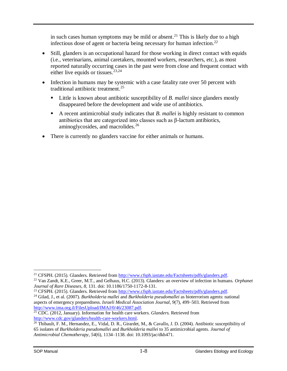in such cases human symptoms may be mild or absent. <sup>21</sup> This is likely due to a high infectious dose of agent or bacteria being necessary for human infection.<sup>22</sup>

- Still, glanders is an occupational hazard for those working in direct contact with equids (i.e., veterinarians, animal caretakers, mounted workers, researchers, etc.), as most reported naturally occurring cases in the past were from close and frequent contact with either live equids or tissues.<sup>23,24</sup>
- Infection in humans may be systemic with a case fatality rate over 50 percent with traditional antibiotic treatment. 25
	- Little is known about antibiotic susceptibility of *B. mallei* since glanders mostly disappeared before the development and wide use of antibiotics.
	- A recent antimicrobial study indicates that *B. mallei* is highly resistant to common antibiotics that are categorized into classes such as β-lactum antibiotics, aminoglycosides, and macrolides.<sup>26</sup>
- There is currently no glanders vaccine for either animals or humans.

 $\overline{a}$ <sup>21</sup> CFSPH. (2015). Glanders. Retrieved from [http://www.cfsph.iastate.edu/Factsheets/pdfs/glanders.pdf.](http://www.cfsph.iastate.edu/Factsheets/pdfs/glanders.pdf)

<sup>22</sup> Van Zandt, K.E., Greer, M.T., and Gelhaus, H.C. (2013). Glanders: an overview of infection in humans. *Orphanet Journal of Rare Diseases, 8*, 131. doi: 10.1186/1750-1172-8-131.

<sup>&</sup>lt;sup>23</sup> CFSPH. (2015). Glanders. Retrieved from [http://www.cfsph.iastate.edu/Factsheets/pdfs/glanders.pdf.](http://www.cfsph.iastate.edu/Factsheets/pdfs/glanders.pdf)

<sup>24</sup> Gilad, J., et al. (2007). *Burkholderia mallei* and *Burkholderia pseudomallei* as bioterrorism agents: national aspects of emergency preparedness. *Israeli Medical Association Journal, 9*(7), 499–503. Retrieved from [http://www.ima.org.il/FilesUpload/IMAJ/0/46/23087.pdf.](http://www.ima.org.il/FilesUpload/IMAJ/0/46/23087.pdf)

<sup>&</sup>lt;sup>25</sup> CDC. (2012, January). Information for health care workers. *Glanders*. Retrieved from [http://www.cdc.gov/glanders/health-care-workers.html.](http://www.cdc.gov/glanders/health-care-workers.html)

 $^{26}$  Thibault, F. M., Hernandez, E., Vidal, D. R., Girardet, M., & Cavallo, J. D. (2004). Antibiotic susceptibility of 65 isolates of *Burkholderia pseudomallei* and *Burkholderia mallei* to 35 antimicrobial agents. *Journal of Antimicrobial Chemotherapy*, *54*(6), 1134–1138. doi: 10.1093/jac/dkh471.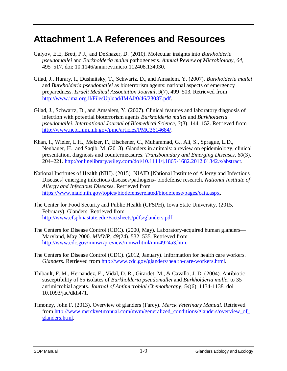# <span id="page-11-0"></span>**Attachment 1.A References and Resources**

- Galyov, E.E, Brett, P.J., and DeShazer, D. (2010). Molecular insights into *Burkholderia pseudomallei* and *Burkholderia mallei* pathogenesis. *Annual Review of Microbiology, 64*, 495–517. doi: 10.1146/annurev.micro.112408.134030.
- Gilad, J., Harary, I., Dushnitsky, T., Schwartz, D., and Amsalem, Y. (2007). *Burkholderia mallei* and *Burkholderia pseudomallei* as bioterrorism agents: national aspects of emergency preparedness. *Israeli Medical Association Journal, 9*(7), 499–503. Retrieved from [http://www.ima.org.il/FilesUpload/IMAJ/0/46/23087.pdf.](http://www.ima.org.il/FilesUpload/IMAJ/0/46/23087.pdf)
- Gilad, J., Schwartz, D., and Amsalem, Y. (2007). Clinical features and laboratory diagnosis of infection with potential bioterrorism agents *Burkholderia mallei* and *Burkholderia pseudomallei*. *International Journal of Biomedical Science, 3*(3). 144–152. Retrieved from [http://www.ncbi.nlm.nih.gov/pmc/articles/PMC3614684/.](http://www.ncbi.nlm.nih.gov/pmc/articles/PMC3614684/)
- Khan, I., Wieler, L.H., Melzer, F., Elschener, C., Muhammad, G., Ali, S., Sprague, L.D., Neubauer, H., and Saqib, M. (2013). Glanders in animals: a review on epidemiology, clinical presentation, diagnosis and countermeasures. *Transboundary and Emerging Diseases, 60*(3), 204–221. [http://onlinelibrary.wiley.com/doi/10.1111/j.1865-1682.2012.01342.x/abstract.](http://onlinelibrary.wiley.com/doi/10.1111/j.1865-1682.2012.01342.x/abstract)
- National Institutes of Health (NIH). (2015). NIAID [National Institute of Allergy and Infectious Diseases] emerging infectious diseases/pathogens- biodefense research. *National Institute of Allergy and Infectious Diseases.* Retrieved from [https://www.niaid.nih.gov/topics/biodefenserelated/biodefense/pages/cata.aspx.](https://www.niaid.nih.gov/topics/biodefenserelated/biodefense/pages/cata.aspx)
- The Center for Food Security and Public Health (CFSPH), Iowa State University. (2015, February). Glanders. Retrieved from [http://www.cfsph.iastate.edu/Factsheets/pdfs/glanders.pdf.](http://www.cfsph.iastate.edu/Factsheets/pdfs/glanders.pdf)
- The Centers for Disease Control (CDC). (2000, May). Laboratory-acquired human glanders— Maryland, May 2000. *MMWR, 49*(24). 532–535. Retrieved from [http://www.cdc.gov/mmwr/preview/mmwrhtml/mm4924a3.htm.](http://www.cdc.gov/mmwr/preview/mmwrhtml/mm4924a3.htm)
- The Centers for Disease Control (CDC). (2012, January). Information for health care workers. *Glanders.* Retrieved from [http://www.cdc.gov/glanders/health-care-workers.html.](http://www.cdc.gov/glanders/health-care-workers.html)
- Thibault, F. M., Hernandez, E., Vidal, D. R., Girardet, M., & Cavallo, J. D. (2004). Antibiotic susceptibility of 65 isolates of *Burkholderia pseudomallei* and *Burkholderia mallei* to 35 antimicrobial agents. *Journal of Antimicrobial Chemotherapy*, *54*(6), 1134-1138. doi: 10.1093/jac/dkh471.
- Timoney, John F. (2013). Overview of glanders (Farcy). *Merck Veterinary Manual*. Retrieved from [http://www.merckvetmanual.com/mvm/generalized\\_conditions/glanders/overview\\_of\\_](http://www.merckvetmanual.com/mvm/generalized_conditions/glanders/overview_of_glanders.html)  [glanders.html.](http://www.merckvetmanual.com/mvm/generalized_conditions/glanders/overview_of_glanders.html)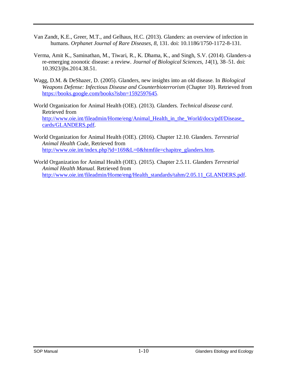- Van Zandt, K.E., Greer, M.T., and Gelhaus, H.C. (2013). Glanders: an overview of infection in humans. *Orphanet Journal of Rare Diseases, 8*, 131. doi: 10.1186/1750-1172-8-131.
- Verma, Amit K., Saminathan, M., Tiwari, R., K. Dhama, K., and Singh, S.V. (2014). Glanders-a re-emerging zoonotic disease: a review. *Journal of Biological Sciences, 14*(1), 38–51. doi: 10.3923/jbs.2014.38.51.
- Wagg, D.M. & DeShazer, D. (2005). Glanders, new insights into an old disease. In *Biological Weapons Defense: Infectious Disease and Counterbioterrorism* (Chapter 10). Retrieved from <https://books.google.com/books?isbn=1592597645>*.*
- World Organization for Animal Health (OIE). (2013). Glanders. *Technical disease card*. Retrieved from [http://www.oie.int/fileadmin/Home/eng/Animal\\_Health\\_in\\_the\\_World/docs/pdf/Disease\\_](http://www.oie.int/fileadmin/Home/eng/Animal_Health_in_the_World/docs/pdf/Disease_cards/GLANDERS.pdf) [cards/GLANDERS.pdf.](http://www.oie.int/fileadmin/Home/eng/Animal_Health_in_the_World/docs/pdf/Disease_cards/GLANDERS.pdf)
- World Organization for Animal Health (OIE). (2016). Chapter 12.10. Glanders. *Terrestrial Animal Health Code*, Retrieved from [http://www.oie.int/index.php?id=169&L=0&htmfile=chapitre\\_glanders.htm.](http://www.oie.int/index.php?id=169&L=0&htmfile=chapitre_glanders.htm)
- World Organization for Animal Health (OIE). (2015). Chapter 2.5.11. Glanders *Terrestrial Animal Health Manual*. Retrieved from [http://www.oie.int/fileadmin/Home/eng/Health\\_standards/tahm/2.05.11\\_GLANDERS.pdf.](http://www.oie.int/fileadmin/Home/eng/Health_standards/tahm/2.05.11_GLANDERS.pdf)